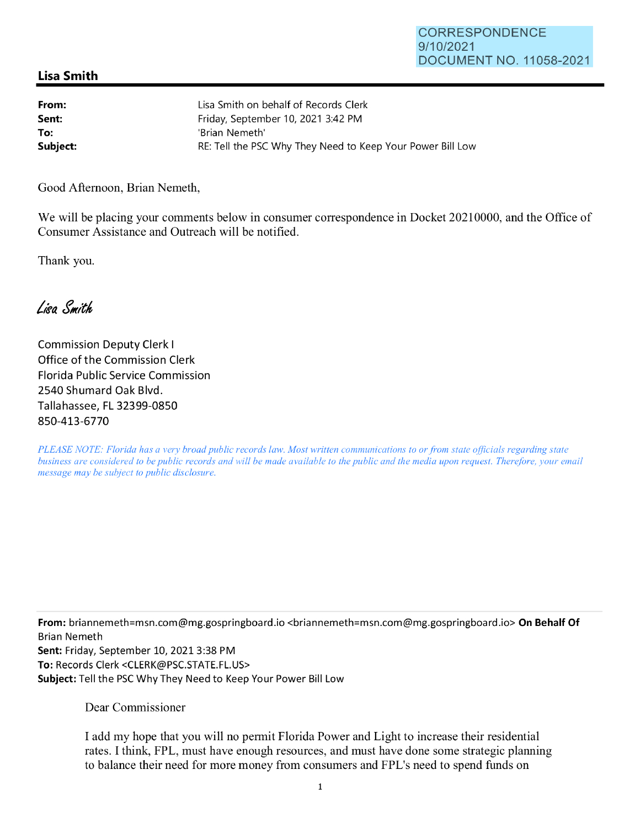## **Lisa Smith**

| From:    | Lisa Smith on behalf of Records Clerk                      |
|----------|------------------------------------------------------------|
| Sent:    | Friday, September 10, 2021 3:42 PM                         |
| To:      | 'Brian Nemeth'                                             |
| Subject: | RE: Tell the PSC Why They Need to Keep Your Power Bill Low |

Good Afternoon, Brian Nemeth,

We will be placing your comments below in consumer correspondence in Docket 20210000, and the Office of Consumer Assistance and Outreach will be notified.

Thank you.

Lisa Smith

Commission Deputy Clerk I Office of the Commission Clerk Florida Public Service Commission 2540 Shumard Oak Blvd. Tallahassee, FL 32399-0850 850-413-6770

*PLEASE NOTE: Florida has a very broad public records law. Most written communications to or from state officials regarding state business are considered to be public records and will be made available to the public and the media upon request. Therefore, your email message may be subject to public disclosure.* 

**From:** briannemeth=msn.com@mg.gospringboard.io <briannemeth=msn.com@mg.gospringboard.io> **On Behalf Of**  Brian Nemeth **Sent:** Friday, September 10, 2021 3:38 PM **To:** Records Clerk <CLERK@PSC.STATE.FL.US> **Subject:** Tell the PSC Why They Need to Keep Your Power Bill Low

Dear Commissioner

I add my hope that you will no permit Florida Power and Light to increase their residential rates. I think, FPL, must have enough resources, and must have done some strategic planning to balance their need for more money from consumers and FPL's need to spend funds on